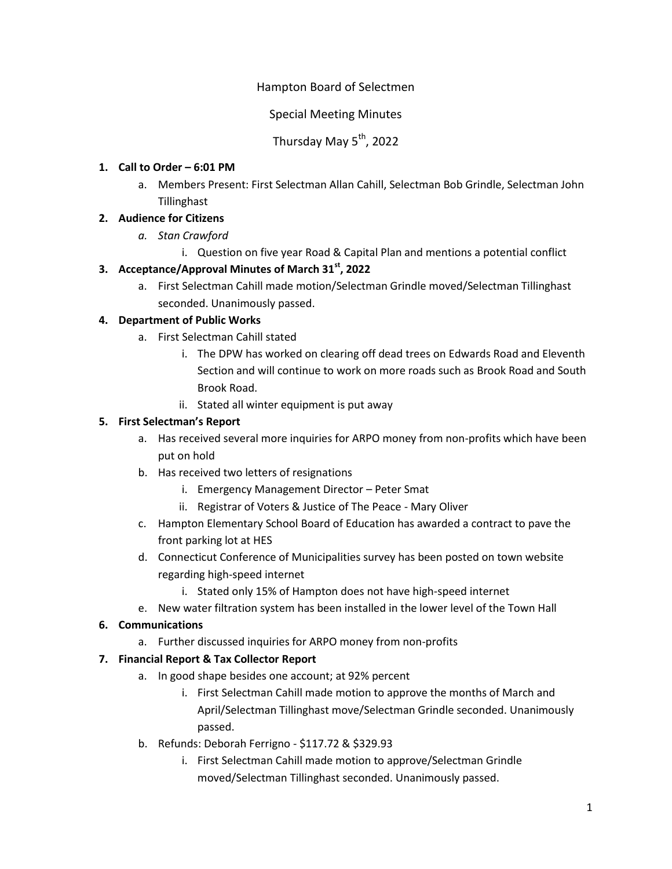# Hampton Board of Selectmen

Special Meeting Minutes

# Thursday May 5<sup>th</sup>, 2022

#### **1. Call to Order – 6:01 PM**

a. Members Present: First Selectman Allan Cahill, Selectman Bob Grindle, Selectman John Tillinghast

### **2. Audience for Citizens**

- *a. Stan Crawford*
	- i. Question on five year Road & Capital Plan and mentions a potential conflict

### **3. Acceptance/Approval Minutes of March 31st, 2022**

a. First Selectman Cahill made motion/Selectman Grindle moved/Selectman Tillinghast seconded. Unanimously passed.

#### **4. Department of Public Works**

- a. First Selectman Cahill stated
	- i. The DPW has worked on clearing off dead trees on Edwards Road and Eleventh Section and will continue to work on more roads such as Brook Road and South Brook Road.
	- ii. Stated all winter equipment is put away

#### **5. First Selectman's Report**

- a. Has received several more inquiries for ARPO money from non-profits which have been put on hold
- b. Has received two letters of resignations
	- i. Emergency Management Director Peter Smat
	- ii. Registrar of Voters & Justice of The Peace Mary Oliver
- c. Hampton Elementary School Board of Education has awarded a contract to pave the front parking lot at HES
- d. Connecticut Conference of Municipalities survey has been posted on town website regarding high-speed internet
	- i. Stated only 15% of Hampton does not have high-speed internet
- e. New water filtration system has been installed in the lower level of the Town Hall

#### **6. Communications**

a. Further discussed inquiries for ARPO money from non-profits

#### **7. Financial Report & Tax Collector Report**

- a. In good shape besides one account; at 92% percent
	- i. First Selectman Cahill made motion to approve the months of March and April/Selectman Tillinghast move/Selectman Grindle seconded. Unanimously passed.
- b. Refunds: Deborah Ferrigno \$117.72 & \$329.93
	- i. First Selectman Cahill made motion to approve/Selectman Grindle moved/Selectman Tillinghast seconded. Unanimously passed.